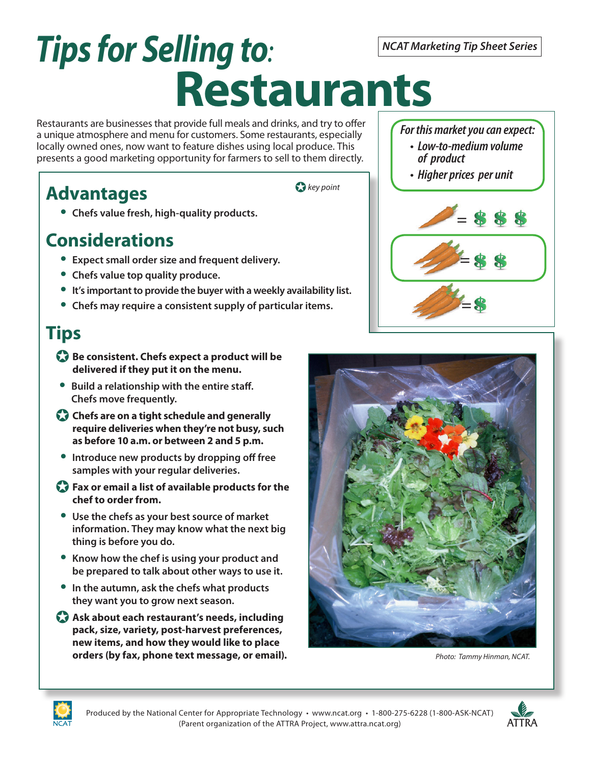# *Tips for Selling to:* **Restaurants**

Restaurants are businesses that provide full meals and drinks, and try to offer a unique atmosphere and menu for customers. Some restaurants, especially locally owned ones, now want to feature dishes using local produce. This presents a good marketing opportunity for farmers to sell to them directly.

## **Advantages**

- J *key point*
- • **Chefs value fresh, high-quality products.**

## **Considerations**

- • **Expect small order size and frequent delivery.**
- • **Chefs value top quality produce.**
- • **It's important to provide the buyer with a weekly availability list.**
- • **Chefs may require a consistent supply of particular items.**

## **Tips**

- **Be consistent. Chefs expect a product will be delivered if they put it on the menu.**
- **Build a relationship with the entire staff. Chefs move frequently.**
- **Chefs are on a tight schedule and generally require deliveries when they're not busy, such as before 10 a.m. or between 2 and 5 p.m.**
- • **Introduce new products by dropping off free samples with your regular deliveries.**
- J **Fax or email a list of available products for the chef to order from.**
- • **Use the chefs as your best source of market information. They may know what the next big thing is before you do.**
- • **Know how the chef is using your product and be prepared to talk about other ways to use it.**
- • **In the autumn, ask the chefs what products they want you to grow next season.**
- **Ask about each restaurant's needs, including pack, size, variety, post-harvest preferences, new items, and how they would like to place orders (by fax, phone text message, or email).**

### *For this market you can expect:*

- **Low-to-medium volume of product**
- **Higher prices per unit**





*Photo: Tammy Hinman, NCAT.*





*NCAT Marketing Tip Sheet Series*